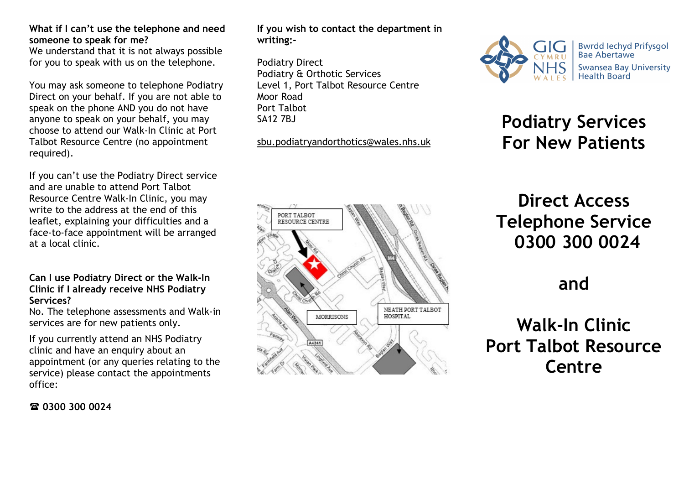#### What if I can't use the telephone and need someone to speak for me?

We understand that it is not always possible for you to speak with us on the telephone.

You may ask someone to telephone Podiatry Direct on your behalf. If you are not able to speak on the phone AND you do not have anyone to speak on your behalf, you may choose to attend our Walk-In Clinic at Port Talbot Resource Centre (no appointment required).

If you can't use the Podiatry Direct service and are unable to attend Port Talbot Resource Centre Walk-In Clinic, you may write to the address at the end of this leaflet, explaining your difficulties and a face-to-face appointment will be arranged at a local clinic.

#### Can I use Podiatry Direct or the Walk-In Clinic if I already receive NHS Podiatry Services?

No. The telephone assessments and Walk-in services are for new patients only.

If you currently attend an NHS Podiatry clinic and have an enquiry about an appointment (or any queries relating to the service) please contact the appointments office:

If you wish to contact the department in writing:-

Podiatry Direct Podiatry & Orthotic Services Level 1, Port Talbot Resource Centre Moor Road Port Talbot SA12 7BJ

sbu.podiatryandorthotics@wales.nhs.uk





# Podiatry Services For New Patients

# Direct Access Telephone Service 0300 300 0024

## and

# Walk-In Clinic Port Talbot Resource Centre

**雷 0300 300 0024**